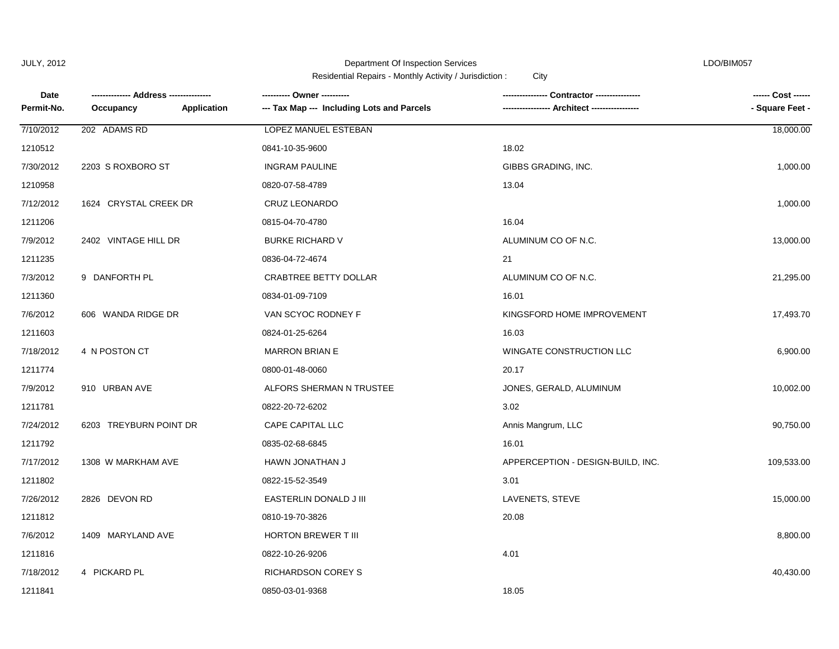1211841 0850-03-01-9368

Department Of Inspection Services LDO/BIM057

Residential Repairs - Monthly Activity / Jurisdiction : City

| Date<br>Permit-No. | Application<br>Occupancy | ---------- Owner ----------<br>--- Tax Map --- Including Lots and Parcels | Contractor ---------------<br><b>Architect -------------</b> | ------ Cost ------<br>- Square Feet - |
|--------------------|--------------------------|---------------------------------------------------------------------------|--------------------------------------------------------------|---------------------------------------|
| 7/10/2012          | 202 ADAMS RD             | LOPEZ MANUEL ESTEBAN                                                      |                                                              | 18,000.00                             |
| 1210512            |                          | 0841-10-35-9600                                                           | 18.02                                                        |                                       |
| 7/30/2012          | 2203 S ROXBORO ST        | <b>INGRAM PAULINE</b>                                                     | GIBBS GRADING, INC.                                          | 1,000.00                              |
| 1210958            |                          | 0820-07-58-4789                                                           | 13.04                                                        |                                       |
| 7/12/2012          | 1624 CRYSTAL CREEK DR    | CRUZ LEONARDO                                                             |                                                              | 1,000.00                              |
| 1211206            |                          | 0815-04-70-4780                                                           | 16.04                                                        |                                       |
| 7/9/2012           | 2402 VINTAGE HILL DR     | <b>BURKE RICHARD V</b>                                                    | ALUMINUM CO OF N.C.                                          | 13,000.00                             |
| 1211235            |                          | 0836-04-72-4674                                                           | 21                                                           |                                       |
| 7/3/2012           | 9 DANFORTH PL            | CRABTREE BETTY DOLLAR                                                     | ALUMINUM CO OF N.C.                                          | 21,295.00                             |
| 1211360            |                          | 0834-01-09-7109                                                           | 16.01                                                        |                                       |
| 7/6/2012           | 606 WANDA RIDGE DR       | VAN SCYOC RODNEY F                                                        | KINGSFORD HOME IMPROVEMENT                                   | 17,493.70                             |
| 1211603            |                          | 0824-01-25-6264                                                           | 16.03                                                        |                                       |
| 7/18/2012          | 4 N POSTON CT            | <b>MARRON BRIAN E</b>                                                     | WINGATE CONSTRUCTION LLC                                     | 6,900.00                              |
| 1211774            |                          | 0800-01-48-0060                                                           | 20.17                                                        |                                       |
| 7/9/2012           | 910 URBAN AVE            | ALFORS SHERMAN N TRUSTEE                                                  | JONES, GERALD, ALUMINUM                                      | 10,002.00                             |
| 1211781            |                          | 0822-20-72-6202                                                           | 3.02                                                         |                                       |
| 7/24/2012          | 6203 TREYBURN POINT DR   | CAPE CAPITAL LLC                                                          | Annis Mangrum, LLC                                           | 90,750.00                             |
| 1211792            |                          | 0835-02-68-6845                                                           | 16.01                                                        |                                       |
| 7/17/2012          | 1308 W MARKHAM AVE       | HAWN JONATHAN J                                                           | APPERCEPTION - DESIGN-BUILD, INC.                            | 109,533.00                            |
| 1211802            |                          | 0822-15-52-3549                                                           | 3.01                                                         |                                       |
| 7/26/2012          | 2826 DEVON RD            | EASTERLIN DONALD J III                                                    | LAVENETS, STEVE                                              | 15,000.00                             |
| 1211812            |                          | 0810-19-70-3826                                                           | 20.08                                                        |                                       |
| 7/6/2012           | 1409 MARYLAND AVE        | HORTON BREWER T III                                                       |                                                              | 8,800.00                              |
| 1211816            |                          | 0822-10-26-9206                                                           | 4.01                                                         |                                       |
| 7/18/2012          | 4 PICKARD PL             | <b>RICHARDSON COREY S</b>                                                 |                                                              | 40,430.00                             |

18.05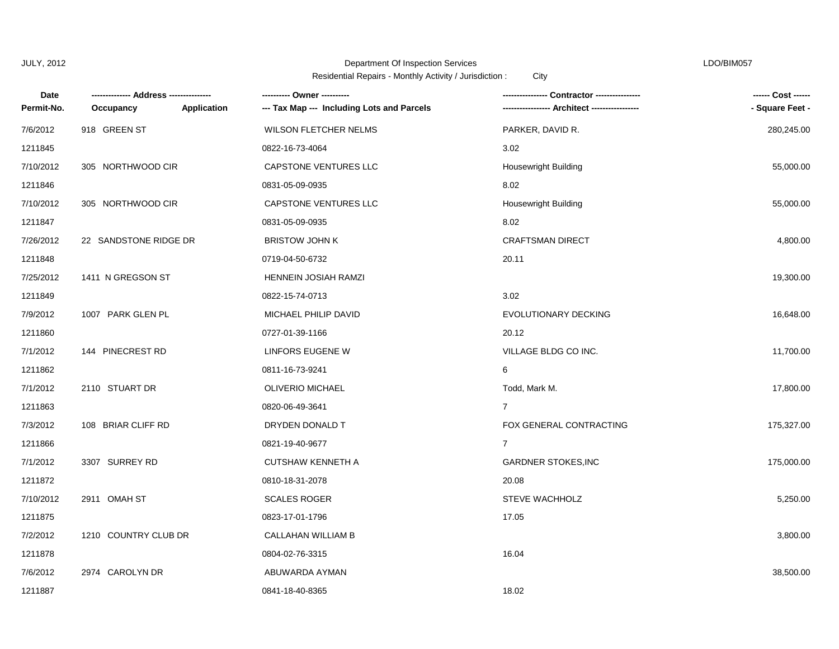## Department Of Inspection Services LDO/BIM057

| Date       |                       |                    | ---------- Owner ----------                | <b>Contractor ----------</b> | ------ Cost ------ |
|------------|-----------------------|--------------------|--------------------------------------------|------------------------------|--------------------|
| Permit-No. | Occupancy             | <b>Application</b> | --- Tax Map --- Including Lots and Parcels | -- Architect ------------    | - Square Feet -    |
| 7/6/2012   | 918 GREEN ST          |                    | WILSON FLETCHER NELMS                      | PARKER, DAVID R.             | 280,245.00         |
| 1211845    |                       |                    | 0822-16-73-4064                            | 3.02                         |                    |
| 7/10/2012  | 305 NORTHWOOD CIR     |                    | CAPSTONE VENTURES LLC                      | Housewright Building         | 55,000.00          |
| 1211846    |                       |                    | 0831-05-09-0935                            | 8.02                         |                    |
| 7/10/2012  | 305 NORTHWOOD CIR     |                    | CAPSTONE VENTURES LLC                      | <b>Housewright Building</b>  | 55,000.00          |
| 1211847    |                       |                    | 0831-05-09-0935                            | 8.02                         |                    |
| 7/26/2012  | 22 SANDSTONE RIDGE DR |                    | <b>BRISTOW JOHN K</b>                      | <b>CRAFTSMAN DIRECT</b>      | 4,800.00           |
| 1211848    |                       |                    | 0719-04-50-6732                            | 20.11                        |                    |
| 7/25/2012  | 1411 N GREGSON ST     |                    | <b>HENNEIN JOSIAH RAMZI</b>                |                              | 19,300.00          |
| 1211849    |                       |                    | 0822-15-74-0713                            | 3.02                         |                    |
| 7/9/2012   | 1007 PARK GLEN PL     |                    | MICHAEL PHILIP DAVID                       | <b>EVOLUTIONARY DECKING</b>  | 16,648.00          |
| 1211860    |                       |                    | 0727-01-39-1166                            | 20.12                        |                    |
| 7/1/2012   | 144 PINECREST RD      |                    | LINFORS EUGENE W                           | VILLAGE BLDG CO INC.         | 11,700.00          |
| 1211862    |                       |                    | 0811-16-73-9241                            | 6                            |                    |
| 7/1/2012   | 2110 STUART DR        |                    | OLIVERIO MICHAEL                           | Todd, Mark M.                | 17,800.00          |
| 1211863    |                       |                    | 0820-06-49-3641                            | 7                            |                    |
| 7/3/2012   | 108 BRIAR CLIFF RD    |                    | DRYDEN DONALD T                            | FOX GENERAL CONTRACTING      | 175,327.00         |
| 1211866    |                       |                    | 0821-19-40-9677                            | $\overline{7}$               |                    |
| 7/1/2012   | 3307 SURREY RD        |                    | <b>CUTSHAW KENNETH A</b>                   | <b>GARDNER STOKES, INC</b>   | 175,000.00         |
| 1211872    |                       |                    | 0810-18-31-2078                            | 20.08                        |                    |
| 7/10/2012  | 2911 OMAH ST          |                    | <b>SCALES ROGER</b>                        | <b>STEVE WACHHOLZ</b>        | 5,250.00           |
| 1211875    |                       |                    | 0823-17-01-1796                            | 17.05                        |                    |
| 7/2/2012   | 1210 COUNTRY CLUB DR  |                    | CALLAHAN WILLIAM B                         |                              | 3,800.00           |
| 1211878    |                       |                    | 0804-02-76-3315                            | 16.04                        |                    |
| 7/6/2012   | 2974 CAROLYN DR       |                    | ABUWARDA AYMAN                             |                              | 38,500.00          |
| 1211887    |                       |                    | 0841-18-40-8365                            | 18.02                        |                    |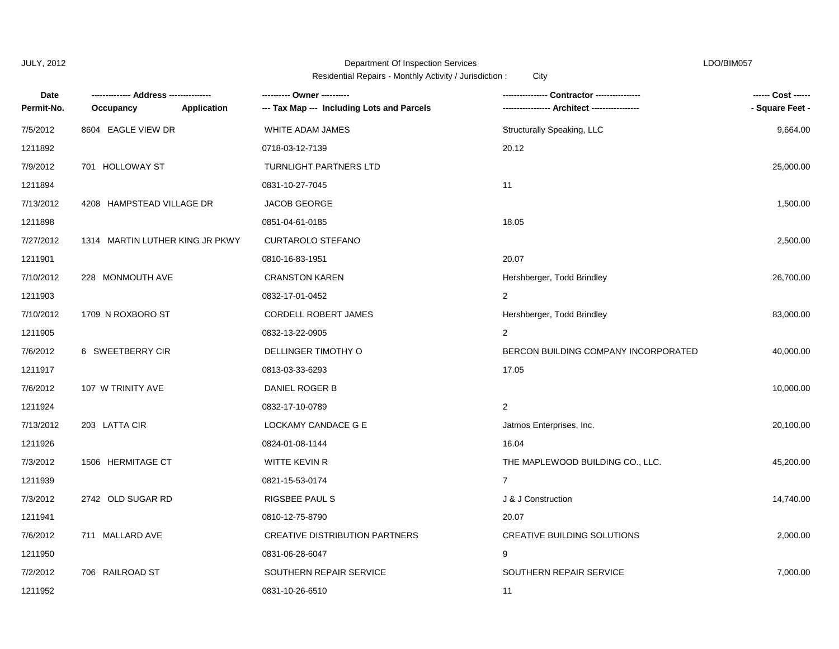# Department Of Inspection Services LDO/BIM057

| Date       | --- Address ---------           |             |                                            |                                      | ------ Cost ------ |
|------------|---------------------------------|-------------|--------------------------------------------|--------------------------------------|--------------------|
| Permit-No. | Occupancy                       | Application | --- Tax Map --- Including Lots and Parcels | -- Architect ---                     | - Square Feet -    |
| 7/5/2012   | 8604 EAGLE VIEW DR              |             | WHITE ADAM JAMES                           | Structurally Speaking, LLC           | 9,664.00           |
| 1211892    |                                 |             | 0718-03-12-7139                            | 20.12                                |                    |
| 7/9/2012   | 701 HOLLOWAY ST                 |             | <b>TURNLIGHT PARTNERS LTD</b>              |                                      | 25,000.00          |
| 1211894    |                                 |             | 0831-10-27-7045                            | 11                                   |                    |
| 7/13/2012  | 4208 HAMPSTEAD VILLAGE DR       |             | <b>JACOB GEORGE</b>                        |                                      | 1,500.00           |
| 1211898    |                                 |             | 0851-04-61-0185                            | 18.05                                |                    |
| 7/27/2012  | 1314 MARTIN LUTHER KING JR PKWY |             | <b>CURTAROLO STEFANO</b>                   |                                      | 2,500.00           |
| 1211901    |                                 |             | 0810-16-83-1951                            | 20.07                                |                    |
| 7/10/2012  | 228 MONMOUTH AVE                |             | <b>CRANSTON KAREN</b>                      | Hershberger, Todd Brindley           | 26,700.00          |
| 1211903    |                                 |             | 0832-17-01-0452                            | $\overline{2}$                       |                    |
| 7/10/2012  | 1709 N ROXBORO ST               |             | CORDELL ROBERT JAMES                       | Hershberger, Todd Brindley           | 83,000.00          |
| 1211905    |                                 |             | 0832-13-22-0905                            | 2                                    |                    |
| 7/6/2012   | 6 SWEETBERRY CIR                |             | DELLINGER TIMOTHY O                        | BERCON BUILDING COMPANY INCORPORATED | 40,000.00          |
| 1211917    |                                 |             | 0813-03-33-6293                            | 17.05                                |                    |
| 7/6/2012   | 107 W TRINITY AVE               |             | DANIEL ROGER B                             |                                      | 10,000.00          |
| 1211924    |                                 |             | 0832-17-10-0789                            | $\overline{c}$                       |                    |
| 7/13/2012  | 203 LATTA CIR                   |             | LOCKAMY CANDACE G E                        | Jatmos Enterprises, Inc.             | 20,100.00          |
| 1211926    |                                 |             | 0824-01-08-1144                            | 16.04                                |                    |
| 7/3/2012   | 1506 HERMITAGE CT               |             | WITTE KEVIN R                              | THE MAPLEWOOD BUILDING CO., LLC.     | 45,200.00          |
| 1211939    |                                 |             | 0821-15-53-0174                            | $\overline{7}$                       |                    |
| 7/3/2012   | 2742 OLD SUGAR RD               |             | RIGSBEE PAUL S                             | J & J Construction                   | 14,740.00          |
| 1211941    |                                 |             | 0810-12-75-8790                            | 20.07                                |                    |
| 7/6/2012   | 711 MALLARD AVE                 |             | <b>CREATIVE DISTRIBUTION PARTNERS</b>      | <b>CREATIVE BUILDING SOLUTIONS</b>   | 2,000.00           |
| 1211950    |                                 |             | 0831-06-28-6047                            | 9                                    |                    |
| 7/2/2012   | 706 RAILROAD ST                 |             | SOUTHERN REPAIR SERVICE                    | SOUTHERN REPAIR SERVICE              | 7,000.00           |
| 1211952    |                                 |             | 0831-10-26-6510                            | 11                                   |                    |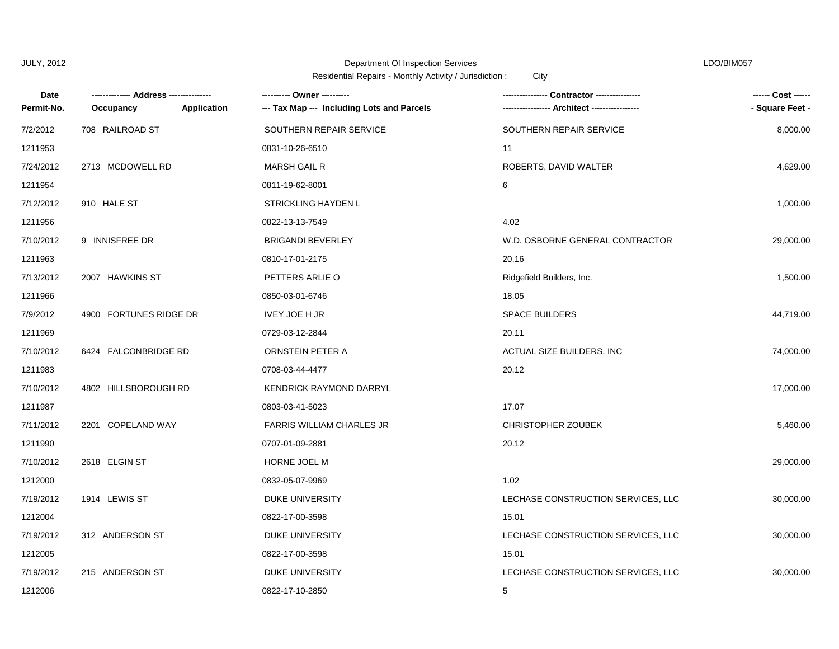#### Department Of Inspection Services LDO/BIM057

| Date       | --- Address ----       |             |                                            | Contractor ----------------        | ------ Cost ------ |
|------------|------------------------|-------------|--------------------------------------------|------------------------------------|--------------------|
| Permit-No. | Occupancy              | Application | --- Tax Map --- Including Lots and Parcels |                                    | - Square Feet -    |
| 7/2/2012   | 708 RAILROAD ST        |             | SOUTHERN REPAIR SERVICE                    | SOUTHERN REPAIR SERVICE            | 8,000.00           |
| 1211953    |                        |             | 0831-10-26-6510                            | 11                                 |                    |
| 7/24/2012  | 2713 MCDOWELL RD       |             | <b>MARSH GAIL R</b>                        | ROBERTS, DAVID WALTER              | 4,629.00           |
| 1211954    |                        |             | 0811-19-62-8001                            | 6                                  |                    |
| 7/12/2012  | 910 HALE ST            |             | STRICKLING HAYDEN L                        |                                    | 1,000.00           |
| 1211956    |                        |             | 0822-13-13-7549                            | 4.02                               |                    |
| 7/10/2012  | 9 INNISFREE DR         |             | <b>BRIGANDI BEVERLEY</b>                   | W.D. OSBORNE GENERAL CONTRACTOR    | 29,000.00          |
| 1211963    |                        |             | 0810-17-01-2175                            | 20.16                              |                    |
| 7/13/2012  | 2007 HAWKINS ST        |             | PETTERS ARLIE O                            | Ridgefield Builders, Inc.          | 1,500.00           |
| 1211966    |                        |             | 0850-03-01-6746                            | 18.05                              |                    |
| 7/9/2012   | 4900 FORTUNES RIDGE DR |             | <b>IVEY JOE H JR</b>                       | <b>SPACE BUILDERS</b>              | 44,719.00          |
| 1211969    |                        |             | 0729-03-12-2844                            | 20.11                              |                    |
| 7/10/2012  | 6424 FALCONBRIDGE RD   |             | ORNSTEIN PETER A                           | ACTUAL SIZE BUILDERS, INC          | 74,000.00          |
| 1211983    |                        |             | 0708-03-44-4477                            | 20.12                              |                    |
| 7/10/2012  | 4802 HILLSBOROUGH RD   |             | KENDRICK RAYMOND DARRYL                    |                                    | 17,000.00          |
| 1211987    |                        |             | 0803-03-41-5023                            | 17.07                              |                    |
| 7/11/2012  | 2201 COPELAND WAY      |             | <b>FARRIS WILLIAM CHARLES JR</b>           | <b>CHRISTOPHER ZOUBEK</b>          | 5,460.00           |
| 1211990    |                        |             | 0707-01-09-2881                            | 20.12                              |                    |
| 7/10/2012  | 2618 ELGIN ST          |             | HORNE JOEL M                               |                                    | 29,000.00          |
| 1212000    |                        |             | 0832-05-07-9969                            | 1.02                               |                    |
| 7/19/2012  | 1914 LEWIS ST          |             | DUKE UNIVERSITY                            | LECHASE CONSTRUCTION SERVICES, LLC | 30,000.00          |
| 1212004    |                        |             | 0822-17-00-3598                            | 15.01                              |                    |
| 7/19/2012  | 312 ANDERSON ST        |             | <b>DUKE UNIVERSITY</b>                     | LECHASE CONSTRUCTION SERVICES, LLC | 30,000.00          |
| 1212005    |                        |             | 0822-17-00-3598                            | 15.01                              |                    |
| 7/19/2012  | 215 ANDERSON ST        |             | DUKE UNIVERSITY                            | LECHASE CONSTRUCTION SERVICES, LLC | 30,000.00          |
| 1212006    |                        |             | 0822-17-10-2850                            | 5                                  |                    |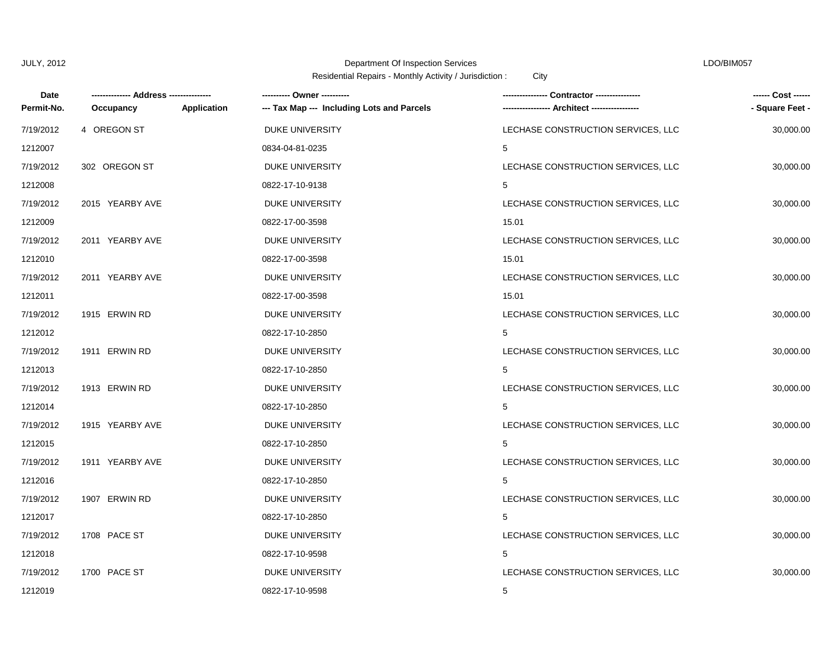# Department Of Inspection Services LDO/BIM057

| Date       | --- Address ------ |             | ---------- Owner ----------                |                                    | ------ Cost ------ |
|------------|--------------------|-------------|--------------------------------------------|------------------------------------|--------------------|
| Permit-No. | Occupancy          | Application | --- Tax Map --- Including Lots and Parcels |                                    | - Square Feet -    |
| 7/19/2012  | 4 OREGON ST        |             | DUKE UNIVERSITY                            | LECHASE CONSTRUCTION SERVICES, LLC | 30,000.00          |
| 1212007    |                    |             | 0834-04-81-0235                            | 5                                  |                    |
| 7/19/2012  | 302 OREGON ST      |             | <b>DUKE UNIVERSITY</b>                     | LECHASE CONSTRUCTION SERVICES, LLC | 30,000.00          |
| 1212008    |                    |             | 0822-17-10-9138                            | 5                                  |                    |
| 7/19/2012  | 2015 YEARBY AVE    |             | <b>DUKE UNIVERSITY</b>                     | LECHASE CONSTRUCTION SERVICES, LLC | 30,000.00          |
| 1212009    |                    |             | 0822-17-00-3598                            | 15.01                              |                    |
| 7/19/2012  | 2011 YEARBY AVE    |             | DUKE UNIVERSITY                            | LECHASE CONSTRUCTION SERVICES, LLC | 30,000.00          |
| 1212010    |                    |             | 0822-17-00-3598                            | 15.01                              |                    |
| 7/19/2012  | 2011 YEARBY AVE    |             | DUKE UNIVERSITY                            | LECHASE CONSTRUCTION SERVICES, LLC | 30,000.00          |
| 1212011    |                    |             | 0822-17-00-3598                            | 15.01                              |                    |
| 7/19/2012  | 1915 ERWIN RD      |             | DUKE UNIVERSITY                            | LECHASE CONSTRUCTION SERVICES, LLC | 30,000.00          |
| 1212012    |                    |             | 0822-17-10-2850                            | 5                                  |                    |
| 7/19/2012  | 1911 ERWIN RD      |             | <b>DUKE UNIVERSITY</b>                     | LECHASE CONSTRUCTION SERVICES, LLC | 30,000.00          |
| 1212013    |                    |             | 0822-17-10-2850                            | 5                                  |                    |
| 7/19/2012  | 1913 ERWIN RD      |             | <b>DUKE UNIVERSITY</b>                     | LECHASE CONSTRUCTION SERVICES, LLC | 30,000.00          |
| 1212014    |                    |             | 0822-17-10-2850                            | 5                                  |                    |
| 7/19/2012  | 1915 YEARBY AVE    |             | DUKE UNIVERSITY                            | LECHASE CONSTRUCTION SERVICES, LLC | 30,000.00          |
| 1212015    |                    |             | 0822-17-10-2850                            | 5                                  |                    |
| 7/19/2012  | 1911 YEARBY AVE    |             | DUKE UNIVERSITY                            | LECHASE CONSTRUCTION SERVICES, LLC | 30,000.00          |
| 1212016    |                    |             | 0822-17-10-2850                            | 5                                  |                    |
| 7/19/2012  | 1907 ERWIN RD      |             | <b>DUKE UNIVERSITY</b>                     | LECHASE CONSTRUCTION SERVICES, LLC | 30,000.00          |
| 1212017    |                    |             | 0822-17-10-2850                            | 5                                  |                    |
| 7/19/2012  | 1708 PACE ST       |             | DUKE UNIVERSITY                            | LECHASE CONSTRUCTION SERVICES, LLC | 30,000.00          |
| 1212018    |                    |             | 0822-17-10-9598                            | 5                                  |                    |
| 7/19/2012  | 1700 PACE ST       |             | <b>DUKE UNIVERSITY</b>                     | LECHASE CONSTRUCTION SERVICES, LLC | 30,000.00          |
| 1212019    |                    |             | 0822-17-10-9598                            | 5                                  |                    |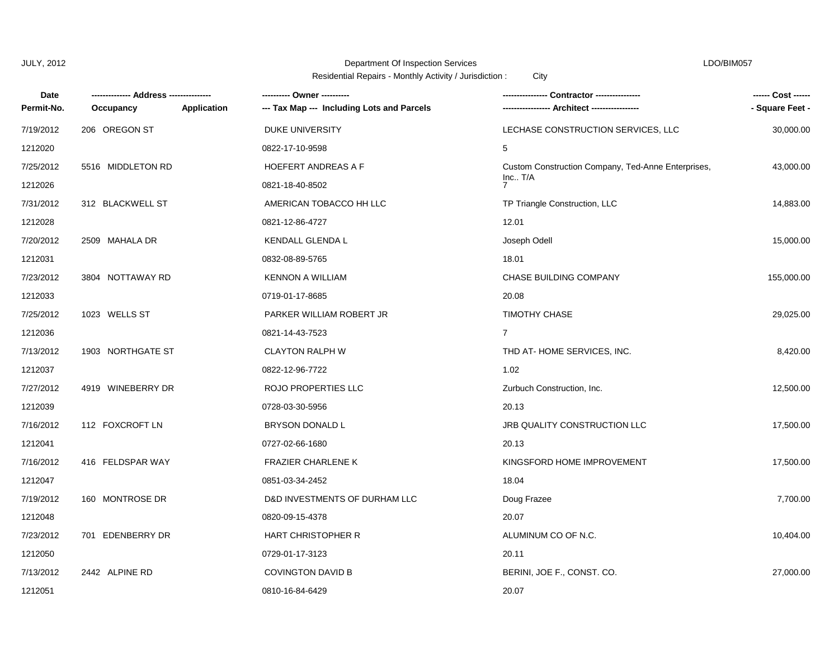# Department Of Inspection Services LDO/BIM057

| Date       |                   |                    |                                            | <b>Contractor -----------</b>                      | ------ Cost ------ |
|------------|-------------------|--------------------|--------------------------------------------|----------------------------------------------------|--------------------|
| Permit-No. | Occupancy         | <b>Application</b> | --- Tax Map --- Including Lots and Parcels |                                                    | - Square Feet -    |
| 7/19/2012  | 206 OREGON ST     |                    | DUKE UNIVERSITY                            | LECHASE CONSTRUCTION SERVICES, LLC                 | 30,000.00          |
| 1212020    |                   |                    | 0822-17-10-9598                            | 5                                                  |                    |
| 7/25/2012  | 5516 MIDDLETON RD |                    | <b>HOEFERT ANDREAS A F</b>                 | Custom Construction Company, Ted-Anne Enterprises, | 43,000.00          |
| 1212026    |                   |                    | 0821-18-40-8502                            | Inc. T/A<br>$\overline{7}$                         |                    |
| 7/31/2012  | 312 BLACKWELL ST  |                    | AMERICAN TOBACCO HH LLC                    | TP Triangle Construction, LLC                      | 14,883.00          |
| 1212028    |                   |                    | 0821-12-86-4727                            | 12.01                                              |                    |
| 7/20/2012  | 2509 MAHALA DR    |                    | KENDALL GLENDA L                           | Joseph Odell                                       | 15,000.00          |
| 1212031    |                   |                    | 0832-08-89-5765                            | 18.01                                              |                    |
| 7/23/2012  | 3804 NOTTAWAY RD  |                    | <b>KENNON A WILLIAM</b>                    | CHASE BUILDING COMPANY                             | 155,000.00         |
| 1212033    |                   |                    | 0719-01-17-8685                            | 20.08                                              |                    |
| 7/25/2012  | 1023 WELLS ST     |                    | PARKER WILLIAM ROBERT JR                   | <b>TIMOTHY CHASE</b>                               | 29,025.00          |
| 1212036    |                   |                    | 0821-14-43-7523                            | $\overline{7}$                                     |                    |
| 7/13/2012  | 1903 NORTHGATE ST |                    | <b>CLAYTON RALPH W</b>                     | THD AT-HOME SERVICES, INC.                         | 8,420.00           |
| 1212037    |                   |                    | 0822-12-96-7722                            | 1.02                                               |                    |
| 7/27/2012  | 4919 WINEBERRY DR |                    | ROJO PROPERTIES LLC                        | Zurbuch Construction, Inc.                         | 12,500.00          |
| 1212039    |                   |                    | 0728-03-30-5956                            | 20.13                                              |                    |
| 7/16/2012  | 112 FOXCROFT LN   |                    | <b>BRYSON DONALD L</b>                     | <b>JRB QUALITY CONSTRUCTION LLC</b>                | 17,500.00          |
| 1212041    |                   |                    | 0727-02-66-1680                            | 20.13                                              |                    |
| 7/16/2012  | 416 FELDSPAR WAY  |                    | <b>FRAZIER CHARLENE K</b>                  | KINGSFORD HOME IMPROVEMENT                         | 17,500.00          |
| 1212047    |                   |                    | 0851-03-34-2452                            | 18.04                                              |                    |
| 7/19/2012  | 160 MONTROSE DR   |                    | D&D INVESTMENTS OF DURHAM LLC              | Doug Frazee                                        | 7,700.00           |
| 1212048    |                   |                    | 0820-09-15-4378                            | 20.07                                              |                    |
| 7/23/2012  | 701 EDENBERRY DR  |                    | <b>HART CHRISTOPHER R</b>                  | ALUMINUM CO OF N.C.                                | 10,404.00          |
| 1212050    |                   |                    | 0729-01-17-3123                            | 20.11                                              |                    |
| 7/13/2012  | 2442 ALPINE RD    |                    | <b>COVINGTON DAVID B</b>                   | BERINI, JOE F., CONST. CO.                         | 27,000.00          |
| 1212051    |                   |                    | 0810-16-84-6429                            | 20.07                                              |                    |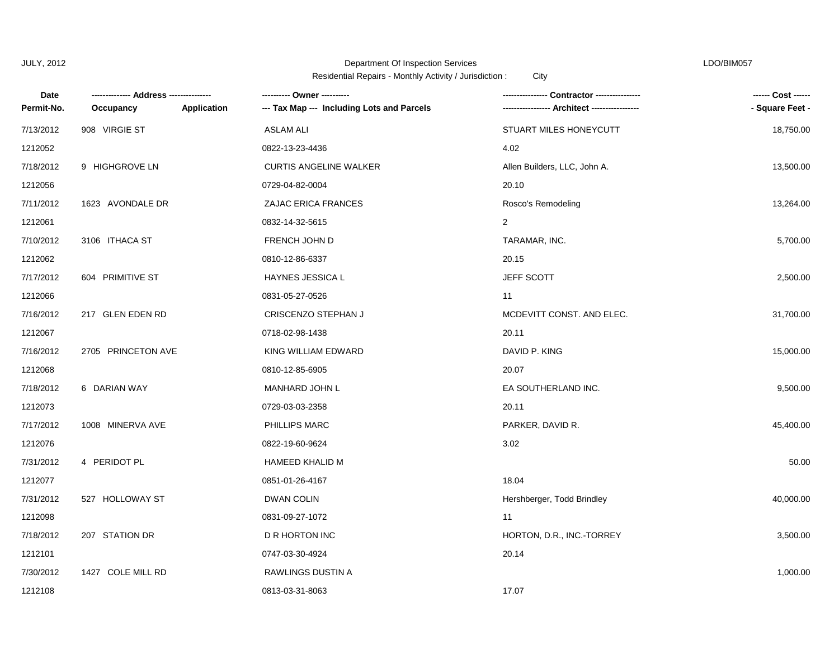## Department Of Inspection Services LDO/BIM057

| Date       | --- Address --------- |             |                                            | Contractor ---------------   |                 |
|------------|-----------------------|-------------|--------------------------------------------|------------------------------|-----------------|
| Permit-No. | Occupancy             | Application | --- Tax Map --- Including Lots and Parcels |                              | - Square Feet - |
| 7/13/2012  | 908 VIRGIE ST         |             | <b>ASLAM ALI</b>                           | STUART MILES HONEYCUTT       | 18,750.00       |
| 1212052    |                       |             | 0822-13-23-4436                            | 4.02                         |                 |
| 7/18/2012  | 9 HIGHGROVE LN        |             | <b>CURTIS ANGELINE WALKER</b>              | Allen Builders, LLC, John A. | 13,500.00       |
| 1212056    |                       |             | 0729-04-82-0004                            | 20.10                        |                 |
| 7/11/2012  | 1623 AVONDALE DR      |             | <b>ZAJAC ERICA FRANCES</b>                 | Rosco's Remodeling           | 13,264.00       |
| 1212061    |                       |             | 0832-14-32-5615                            | 2                            |                 |
| 7/10/2012  | 3106 ITHACA ST        |             | FRENCH JOHN D                              | TARAMAR, INC.                | 5,700.00        |
| 1212062    |                       |             | 0810-12-86-6337                            | 20.15                        |                 |
| 7/17/2012  | 604 PRIMITIVE ST      |             | HAYNES JESSICA L                           | JEFF SCOTT                   | 2,500.00        |
| 1212066    |                       |             | 0831-05-27-0526                            | 11                           |                 |
| 7/16/2012  | 217 GLEN EDEN RD      |             | CRISCENZO STEPHAN J                        | MCDEVITT CONST. AND ELEC.    | 31,700.00       |
| 1212067    |                       |             | 0718-02-98-1438                            | 20.11                        |                 |
| 7/16/2012  | 2705 PRINCETON AVE    |             | KING WILLIAM EDWARD                        | DAVID P. KING                | 15,000.00       |
| 1212068    |                       |             | 0810-12-85-6905                            | 20.07                        |                 |
| 7/18/2012  | 6 DARIAN WAY          |             | <b>MANHARD JOHN L</b>                      | EA SOUTHERLAND INC.          | 9,500.00        |
| 1212073    |                       |             | 0729-03-03-2358                            | 20.11                        |                 |
| 7/17/2012  | 1008 MINERVA AVE      |             | PHILLIPS MARC                              | PARKER, DAVID R.             | 45,400.00       |
| 1212076    |                       |             | 0822-19-60-9624                            | 3.02                         |                 |
| 7/31/2012  | 4 PERIDOT PL          |             | <b>HAMEED KHALID M</b>                     |                              | 50.00           |
| 1212077    |                       |             | 0851-01-26-4167                            | 18.04                        |                 |
| 7/31/2012  | 527 HOLLOWAY ST       |             | <b>DWAN COLIN</b>                          | Hershberger, Todd Brindley   | 40,000.00       |
| 1212098    |                       |             | 0831-09-27-1072                            | 11                           |                 |
| 7/18/2012  | 207 STATION DR        |             | D R HORTON INC                             | HORTON, D.R., INC.-TORREY    | 3,500.00        |
| 1212101    |                       |             | 0747-03-30-4924                            | 20.14                        |                 |
| 7/30/2012  | 1427 COLE MILL RD     |             | RAWLINGS DUSTIN A                          |                              | 1,000.00        |
| 1212108    |                       |             | 0813-03-31-8063                            | 17.07                        |                 |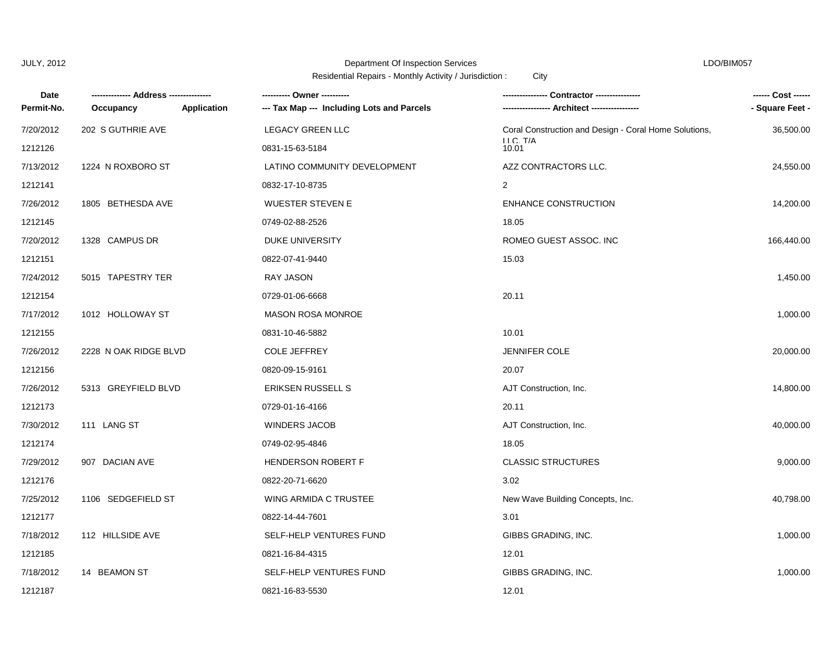## Department Of Inspection Services LDO/BIM057

| Date       |                       |             | ---------- Owner ----------                | Contractor ---------------                            | ------ Cost ------ |
|------------|-----------------------|-------------|--------------------------------------------|-------------------------------------------------------|--------------------|
| Permit-No. | Occupancy             | Application | --- Tax Map --- Including Lots and Parcels | Architect ----------------                            | - Square Feet -    |
| 7/20/2012  | 202 S GUTHRIE AVE     |             | <b>LEGACY GREEN LLC</b>                    | Coral Construction and Design - Coral Home Solutions, | 36,500.00          |
| 1212126    |                       |             | 0831-15-63-5184                            | LLC. T/A<br>10.01                                     |                    |
| 7/13/2012  | 1224 N ROXBORO ST     |             | LATINO COMMUNITY DEVELOPMENT               | AZZ CONTRACTORS LLC.                                  | 24,550.00          |
| 1212141    |                       |             | 0832-17-10-8735                            | 2                                                     |                    |
| 7/26/2012  | 1805 BETHESDA AVE     |             | <b>WUESTER STEVEN E</b>                    | ENHANCE CONSTRUCTION                                  | 14,200.00          |
| 1212145    |                       |             | 0749-02-88-2526                            | 18.05                                                 |                    |
| 7/20/2012  | 1328 CAMPUS DR        |             | DUKE UNIVERSITY                            | ROMEO GUEST ASSOC. INC                                | 166,440.00         |
| 1212151    |                       |             | 0822-07-41-9440                            | 15.03                                                 |                    |
| 7/24/2012  | 5015 TAPESTRY TER     |             | <b>RAY JASON</b>                           |                                                       | 1,450.00           |
| 1212154    |                       |             | 0729-01-06-6668                            | 20.11                                                 |                    |
| 7/17/2012  | 1012 HOLLOWAY ST      |             | <b>MASON ROSA MONROE</b>                   |                                                       | 1,000.00           |
| 1212155    |                       |             | 0831-10-46-5882                            | 10.01                                                 |                    |
| 7/26/2012  | 2228 N OAK RIDGE BLVD |             | <b>COLE JEFFREY</b>                        | <b>JENNIFER COLE</b>                                  | 20,000.00          |
| 1212156    |                       |             | 0820-09-15-9161                            | 20.07                                                 |                    |
| 7/26/2012  | 5313 GREYFIELD BLVD   |             | <b>ERIKSEN RUSSELL S</b>                   | AJT Construction, Inc.                                | 14,800.00          |
| 1212173    |                       |             | 0729-01-16-4166                            | 20.11                                                 |                    |
| 7/30/2012  | 111 LANG ST           |             | <b>WINDERS JACOB</b>                       | AJT Construction, Inc.                                | 40,000.00          |
| 1212174    |                       |             | 0749-02-95-4846                            | 18.05                                                 |                    |
| 7/29/2012  | 907 DACIAN AVE        |             | <b>HENDERSON ROBERT F</b>                  | <b>CLASSIC STRUCTURES</b>                             | 9,000.00           |
| 1212176    |                       |             | 0822-20-71-6620                            | 3.02                                                  |                    |
| 7/25/2012  | 1106 SEDGEFIELD ST    |             | WING ARMIDA C TRUSTEE                      | New Wave Building Concepts, Inc.                      | 40,798.00          |
| 1212177    |                       |             | 0822-14-44-7601                            | 3.01                                                  |                    |
| 7/18/2012  | 112 HILLSIDE AVE      |             | SELF-HELP VENTURES FUND                    | GIBBS GRADING, INC.                                   | 1,000.00           |
| 1212185    |                       |             | 0821-16-84-4315                            | 12.01                                                 |                    |
| 7/18/2012  | 14 BEAMON ST          |             | SELF-HELP VENTURES FUND                    | GIBBS GRADING, INC.                                   | 1,000.00           |
| 1212187    |                       |             | 0821-16-83-5530                            | 12.01                                                 |                    |